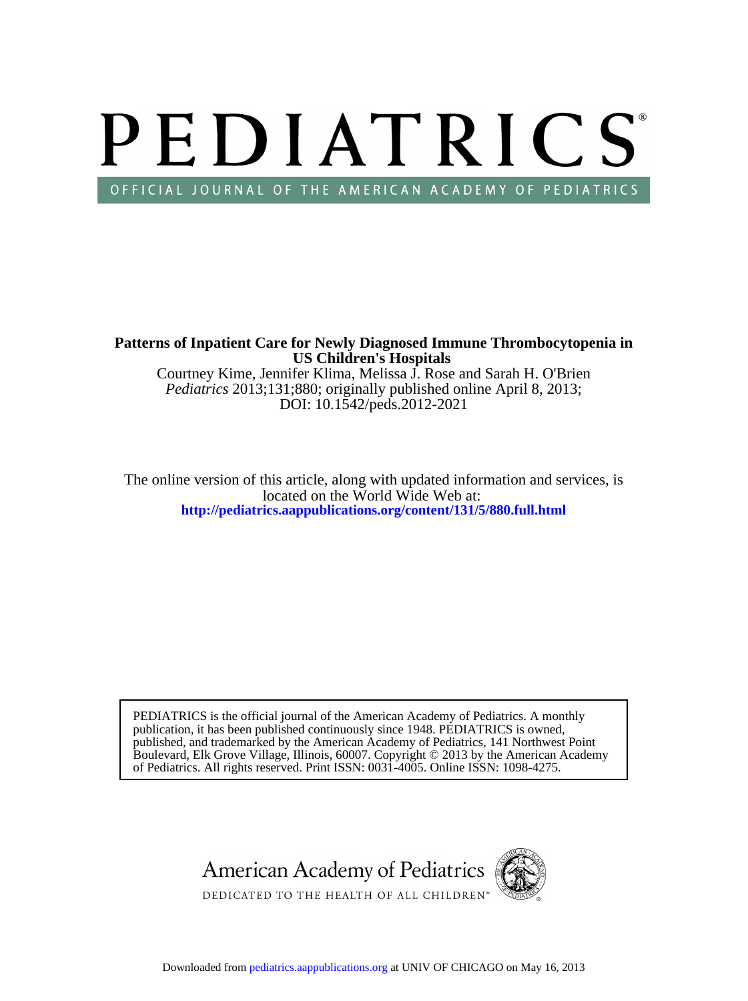# PEDIATRICS OFFICIAL JOURNAL OF THE AMERICAN ACADEMY OF PEDIATRICS

**US Children's Hospitals Patterns of Inpatient Care for Newly Diagnosed Immune Thrombocytopenia in**

DOI: 10.1542/peds.2012-2021 *Pediatrics* 2013;131;880; originally published online April 8, 2013; Courtney Kime, Jennifer Klima, Melissa J. Rose and Sarah H. O'Brien

**<http://pediatrics.aappublications.org/content/131/5/880.full.html>** located on the World Wide Web at: The online version of this article, along with updated information and services, is

of Pediatrics. All rights reserved. Print ISSN: 0031-4005. Online ISSN: 1098-4275. Boulevard, Elk Grove Village, Illinois, 60007. Copyright © 2013 by the American Academy published, and trademarked by the American Academy of Pediatrics, 141 Northwest Point publication, it has been published continuously since 1948. PEDIATRICS is owned, PEDIATRICS is the official journal of the American Academy of Pediatrics. A monthly

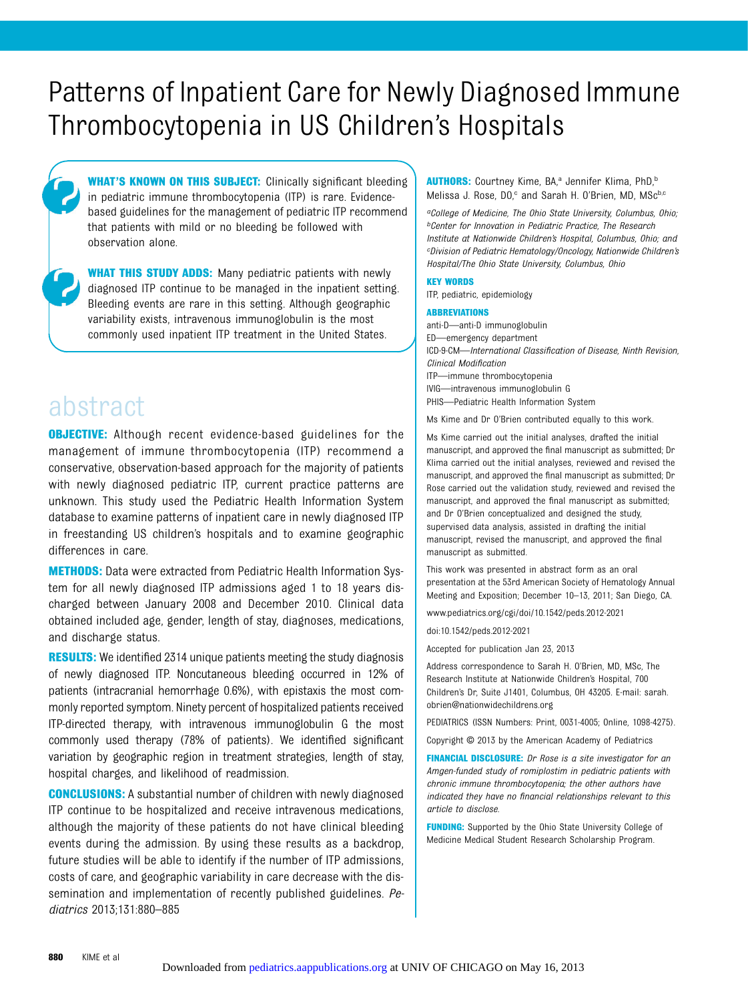## Patterns of Inpatient Care for Newly Diagnosed Immune Thrombocytopenia in US Children's Hospitals

**WHAT'S KNOWN ON THIS SUBJECT:** Clinically significant bleeding in pediatric immune thrombocytopenia (ITP) is rare. Evidencebased guidelines for the management of pediatric ITP recommend that patients with mild or no bleeding be followed with observation alone.

**WHAT THIS STUDY ADDS:** Many pediatric patients with newly diagnosed ITP continue to be managed in the inpatient setting. Bleeding events are rare in this setting. Although geographic variability exists, intravenous immunoglobulin is the most commonly used inpatient ITP treatment in the United States.

### abstract

**OBJECTIVE:** Although recent evidence-based guidelines for the management of immune thrombocytopenia (ITP) recommend a conservative, observation-based approach for the majority of patients with newly diagnosed pediatric ITP, current practice patterns are unknown. This study used the Pediatric Health Information System database to examine patterns of inpatient care in newly diagnosed ITP in freestanding US children's hospitals and to examine geographic differences in care.

METHODS: Data were extracted from Pediatric Health Information System for all newly diagnosed ITP admissions aged 1 to 18 years discharged between January 2008 and December 2010. Clinical data obtained included age, gender, length of stay, diagnoses, medications, and discharge status.

**RESULTS:** We identified 2314 unique patients meeting the study diagnosis of newly diagnosed ITP. Noncutaneous bleeding occurred in 12% of patients (intracranial hemorrhage 0.6%), with epistaxis the most commonly reported symptom. Ninety percent of hospitalized patients received ITP-directed therapy, with intravenous immunoglobulin G the most commonly used therapy (78% of patients). We identified significant variation by geographic region in treatment strategies, length of stay, hospital charges, and likelihood of readmission.

CONCLUSIONS: A substantial number of children with newly diagnosed ITP continue to be hospitalized and receive intravenous medications, although the majority of these patients do not have clinical bleeding events during the admission. By using these results as a backdrop, future studies will be able to identify if the number of ITP admissions, costs of care, and geographic variability in care decrease with the dissemination and implementation of recently published guidelines. Pediatrics 2013;131:880–885

AUTHORS: Courtney Kime, BA,<sup>a</sup> Jennifer Klima, PhD,<sup>b</sup> Melissa J. Rose, DO,<sup>c</sup> and Sarah H. O'Brien, MD, MSc<sup>b,c</sup>

aCollege of Medicine, The Ohio State University, Columbus, Ohio; **bCenter for Innovation in Pediatric Practice, The Research** Institute at Nationwide Children's Hospital, Columbus, Ohio; and cDivision of Pediatric Hematology/Oncology, Nationwide Children's Hospital/The Ohio State University, Columbus, Ohio

#### KEY WORDS

ITP, pediatric, epidemiology

#### **ABBREVIATIONS**

anti-D—anti-D immunoglobulin ED—emergency department ICD-9-CM—International Classification of Disease, Ninth Revision, Clinical Modification ITP—immune thrombocytopenia IVIG—intravenous immunoglobulin G PHIS—Pediatric Health Information System

Ms Kime and Dr O'Brien contributed equally to this work.

Ms Kime carried out the initial analyses, drafted the initial manuscript, and approved the final manuscript as submitted; Dr Klima carried out the initial analyses, reviewed and revised the manuscript, and approved the final manuscript as submitted; Dr Rose carried out the validation study, reviewed and revised the manuscript, and approved the final manuscript as submitted; and Dr O'Brien conceptualized and designed the study, supervised data analysis, assisted in drafting the initial manuscript, revised the manuscript, and approved the final manuscript as submitted.

This work was presented in abstract form as an oral presentation at the 53rd American Society of Hematology Annual Meeting and Exposition; December 10–13, 2011; San Diego, CA.

www.pediatrics.org/cgi/doi/10.1542/peds.2012-2021

doi:10.1542/peds.2012-2021

Accepted for publication Jan 23, 2013

Address correspondence to Sarah H. O'Brien, MD, MSc, The Research Institute at Nationwide Children's Hospital, 700 Children's Dr, Suite J1401, Columbus, OH 43205. E-mail: [sarah.](mailto:sarah.obrien@nationwidechildrens.org) [obrien@nationwidechildrens.org](mailto:sarah.obrien@nationwidechildrens.org)

PEDIATRICS (ISSN Numbers: Print, 0031-4005; Online, 1098-4275).

Copyright © 2013 by the American Academy of Pediatrics

FINANCIAL DISCLOSURE: Dr Rose is a site investigator for an Amgen-funded study of romiplostim in pediatric patients with chronic immune thrombocytopenia; the other authors have indicated they have no financial relationships relevant to this article to disclose.

FUNDING: Supported by the Ohio State University College of Medicine Medical Student Research Scholarship Program.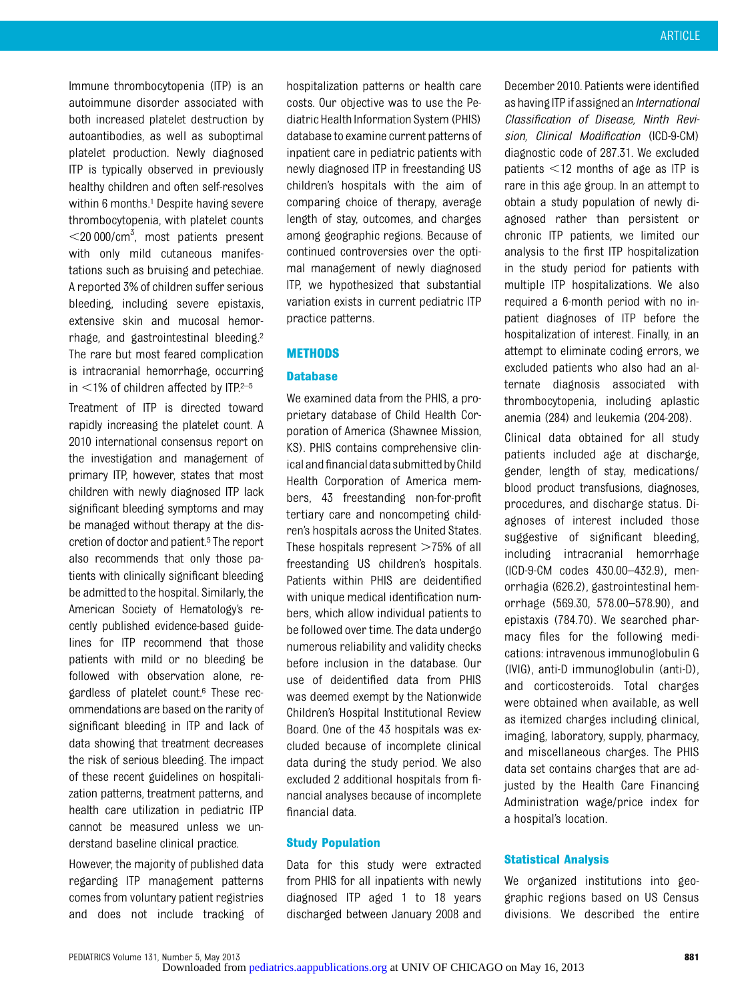Immune thrombocytopenia (ITP) is an autoimmune disorder associated with both increased platelet destruction by autoantibodies, as well as suboptimal platelet production. Newly diagnosed ITP is typically observed in previously healthy children and often self-resolves within 6 months.<sup>1</sup> Despite having severe thrombocytopenia, with platelet counts  $<$ 20 000/cm<sup>3</sup>, most patients present with only mild cutaneous manifestations such as bruising and petechiae. A reported 3% of children suffer serious bleeding, including severe epistaxis, extensive skin and mucosal hemorrhage, and gastrointestinal bleeding.2 The rare but most feared complication is intracranial hemorrhage, occurring in  $<$  1% of children affected by ITP.2-5

Treatment of ITP is directed toward rapidly increasing the platelet count. A 2010 international consensus report on the investigation and management of primary ITP, however, states that most children with newly diagnosed ITP lack significant bleeding symptoms and may be managed without therapy at the discretion of doctor and patient.5 The report also recommends that only those patients with clinically significant bleeding be admitted to the hospital. Similarly, the American Society of Hematology's recently published evidence-based guidelines for ITP recommend that those patients with mild or no bleeding be followed with observation alone, regardless of platelet count.<sup>6</sup> These recommendations are based on the rarity of significant bleeding in ITP and lack of data showing that treatment decreases the risk of serious bleeding. The impact of these recent guidelines on hospitalization patterns, treatment patterns, and health care utilization in pediatric ITP cannot be measured unless we understand baseline clinical practice.

However, the majority of published data regarding ITP management patterns comes from voluntary patient registries and does not include tracking of

hospitalization patterns or health care costs. Our objective was to use the Pediatric Health Information System (PHIS) database to examine current patterns of inpatient care in pediatric patients with newly diagnosed ITP in freestanding US children's hospitals with the aim of comparing choice of therapy, average length of stay, outcomes, and charges among geographic regions. Because of continued controversies over the optimal management of newly diagnosed ITP, we hypothesized that substantial variation exists in current pediatric ITP practice patterns.

#### **METHODS**

#### **Database**

We examined data from the PHIS, a proprietary database of Child Health Corporation of America (Shawnee Mission, KS). PHIS contains comprehensive clinical and financial data submitted by Child Health Corporation of America members, 43 freestanding non-for-profit tertiary care and noncompeting children's hospitals across the United States. These hospitals represent  $>75%$  of all freestanding US children's hospitals. Patients within PHIS are deidentified with unique medical identification numbers, which allow individual patients to be followed over time. The data undergo numerous reliability and validity checks before inclusion in the database. Our use of deidentified data from PHIS was deemed exempt by the Nationwide Children's Hospital Institutional Review Board. One of the 43 hospitals was excluded because of incomplete clinical data during the study period. We also excluded 2 additional hospitals from financial analyses because of incomplete financial data.

#### Study Population

Data for this study were extracted from PHIS for all inpatients with newly diagnosed ITP aged 1 to 18 years discharged between January 2008 and

December 2010. Patients were identified as having ITP if assigned an International Classification of Disease, Ninth Revision, Clinical Modification (ICD-9-CM) diagnostic code of 287.31. We excluded patients  $<$ 12 months of age as ITP is rare in this age group. In an attempt to obtain a study population of newly diagnosed rather than persistent or chronic ITP patients, we limited our analysis to the first ITP hospitalization in the study period for patients with multiple ITP hospitalizations. We also required a 6-month period with no inpatient diagnoses of ITP before the hospitalization of interest. Finally, in an attempt to eliminate coding errors, we excluded patients who also had an alternate diagnosis associated with thrombocytopenia, including aplastic anemia (284) and leukemia (204-208).

Clinical data obtained for all study patients included age at discharge, gender, length of stay, medications/ blood product transfusions, diagnoses, procedures, and discharge status. Diagnoses of interest included those suggestive of significant bleeding, including intracranial hemorrhage (ICD-9-CM codes 430.00–432.9), menorrhagia (626.2), gastrointestinal hemorrhage (569.30, 578.00–578.90), and epistaxis (784.70). We searched pharmacy files for the following medications: intravenous immunoglobulin G (IVIG), anti-D immunoglobulin (anti-D), and corticosteroids. Total charges were obtained when available, as well as itemized charges including clinical, imaging, laboratory, supply, pharmacy, and miscellaneous charges. The PHIS data set contains charges that are adjusted by the Health Care Financing Administration wage/price index for a hospital's location.

#### Statistical Analysis

We organized institutions into geographic regions based on US Census divisions. We described the entire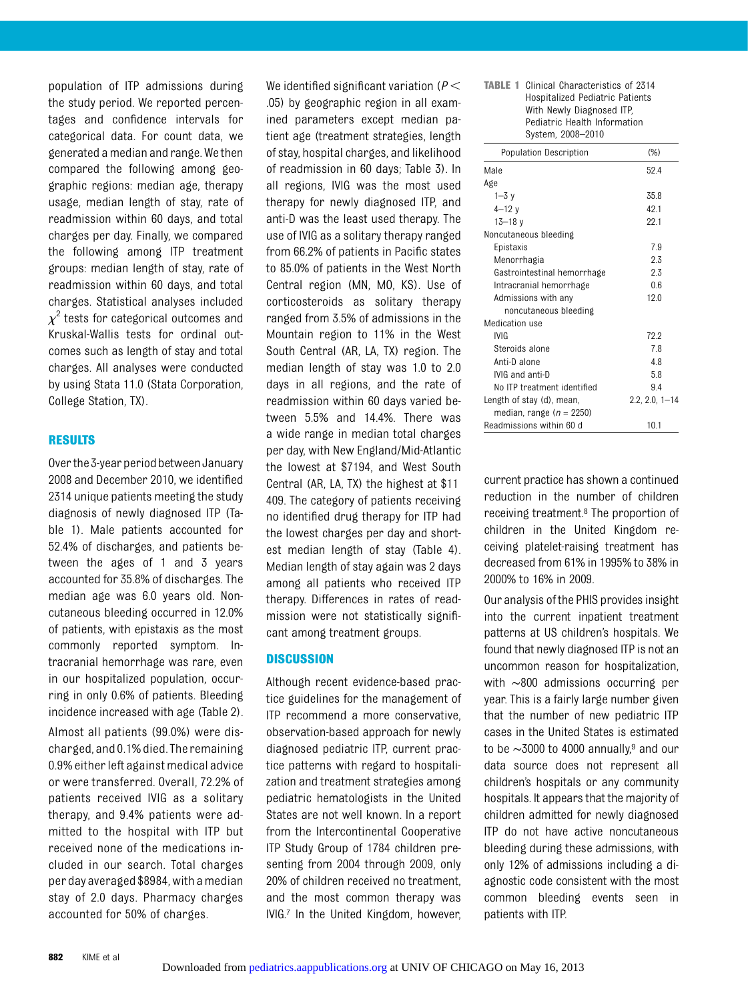population of ITP admissions during the study period. We reported percentages and confidence intervals for categorical data. For count data, we generated a median and range. We then compared the following among geographic regions: median age, therapy usage, median length of stay, rate of readmission within 60 days, and total charges per day. Finally, we compared the following among ITP treatment groups: median length of stay, rate of readmission within 60 days, and total charges. Statistical analyses included  $\chi^2$  tests for categorical outcomes and Kruskal-Wallis tests for ordinal outcomes such as length of stay and total charges. All analyses were conducted by using Stata 11.0 (Stata Corporation, College Station, TX).

#### RESULTS

Over the 3-year period between January 2008 and December 2010, we identified 2314 unique patients meeting the study diagnosis of newly diagnosed ITP (Table 1). Male patients accounted for 52.4% of discharges, and patients between the ages of 1 and 3 years accounted for 35.8% of discharges. The median age was 6.0 years old. Noncutaneous bleeding occurred in 12.0% of patients, with epistaxis as the most commonly reported symptom. Intracranial hemorrhage was rare, even in our hospitalized population, occurring in only 0.6% of patients. Bleeding incidence increased with age (Table 2).

Almost all patients (99.0%) were discharged, and 0.1% died. The remaining 0.9% either left against medical advice or were transferred. Overall, 72.2% of patients received IVIG as a solitary therapy, and 9.4% patients were admitted to the hospital with ITP but received none of the medications included in our search. Total charges per day averaged \$8984, with a median stay of 2.0 days. Pharmacy charges accounted for 50% of charges.

We identified significant variation ( $P \leq$ .05) by geographic region in all examined parameters except median patient age (treatment strategies, length of stay, hospital charges, and likelihood of readmission in 60 days; Table 3). In all regions, IVIG was the most used therapy for newly diagnosed ITP, and anti-D was the least used therapy. The use of IVIG as a solitary therapy ranged from 66.2% of patients in Pacific states to 85.0% of patients in the West North Central region (MN, MO, KS). Use of corticosteroids as solitary therapy ranged from 3.5% of admissions in the Mountain region to 11% in the West South Central (AR, LA, TX) region. The median length of stay was 1.0 to 2.0 days in all regions, and the rate of readmission within 60 days varied between 5.5% and 14.4%. There was a wide range in median total charges per day, with New England/Mid-Atlantic the lowest at \$7194, and West South Central (AR, LA, TX) the highest at \$11 409. The category of patients receiving no identified drug therapy for ITP had the lowest charges per day and shortest median length of stay (Table 4). Median length of stay again was 2 days among all patients who received ITP therapy. Differences in rates of readmission were not statistically significant among treatment groups.

#### **DISCUSSION**

Although recent evidence-based practice guidelines for the management of ITP recommend a more conservative, observation-based approach for newly diagnosed pediatric ITP, current practice patterns with regard to hospitalization and treatment strategies among pediatric hematologists in the United States are not well known. In a report from the Intercontinental Cooperative ITP Study Group of 1784 children presenting from 2004 through 2009, only 20% of children received no treatment, and the most common therapy was IVIG.7 In the United Kingdom, however,

TABLE 1 Clinical Characteristics of 2314 Hospitalized Pediatric Patients With Newly Diagnosed ITP, Pediatric Health Information System, 2008–2010

| Population Description       | $(\%)$             |
|------------------------------|--------------------|
| Male                         | 52.4               |
| Age                          |                    |
| $1 - 3$ y                    | 35.8               |
| $4 - 12y$                    | 42.1               |
| $13 - 18y$                   | 22.1               |
| Noncutaneous bleeding        |                    |
| Epistaxis                    | 79                 |
| Menorrhagia                  | 2.3                |
| Gastrointestinal hemorrhage  | 2.3                |
| Intracranial hemorrhage      | 0.6                |
| Admissions with any          | 12.0               |
| noncutaneous bleeding        |                    |
| Medication use               |                    |
| <b>IVIG</b>                  | 72.2               |
| Steroids alone               | 78                 |
| Anti-D alone                 | 4.8                |
| IVIG and anti-D              | 5.8                |
| No ITP treatment identified  | 9.4                |
| Length of stay (d), mean,    | $2.2, 2.0, 1 - 14$ |
| median, range ( $n = 2250$ ) |                    |
| Readmissions within 60 d     | 10.1               |

current practice has shown a continued reduction in the number of children receiving treatment.8 The proportion of children in the United Kingdom receiving platelet-raising treatment has decreased from 61% in 1995% to 38% in 2000% to 16% in 2009.

Our analysis of the PHIS provides insight into the current inpatient treatment patterns at US children's hospitals. We found that newly diagnosed ITP is not an uncommon reason for hospitalization, with ∼800 admissions occurring per year. This is a fairly large number given that the number of new pediatric ITP cases in the United States is estimated to be ~3000 to 4000 annually,<sup>9</sup> and our data source does not represent all children's hospitals or any community hospitals. It appears that the majority of children admitted for newly diagnosed ITP do not have active noncutaneous bleeding during these admissions, with only 12% of admissions including a diagnostic code consistent with the most common bleeding events seen in patients with ITP.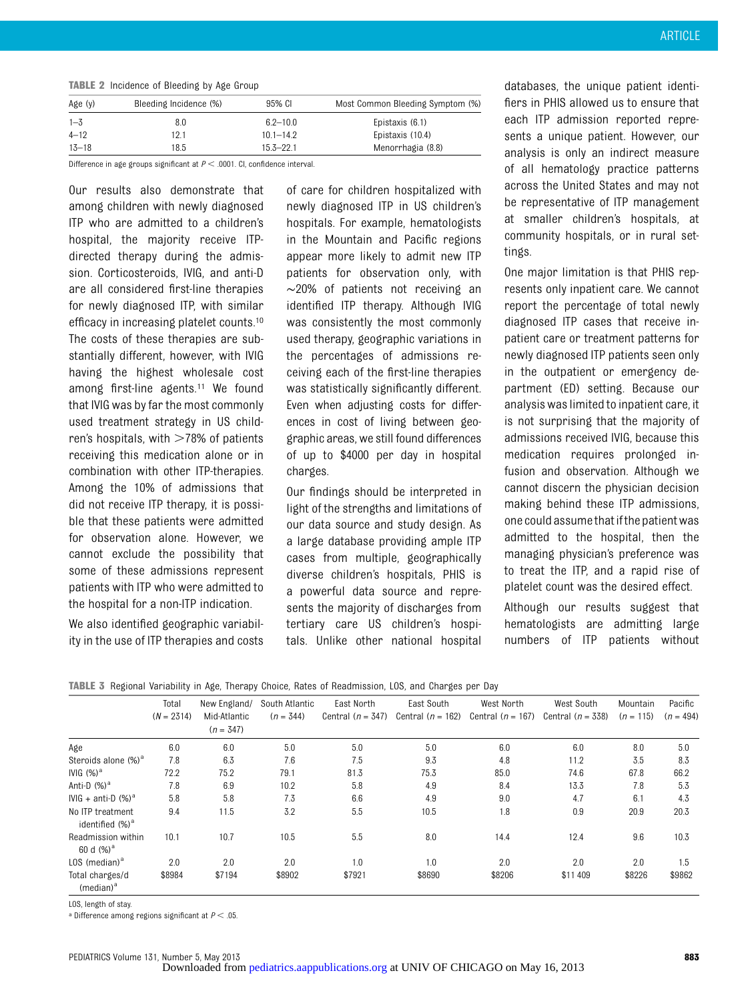| <b>TABLE 2</b> Incidence of Bleeding by Age Group |  |  |
|---------------------------------------------------|--|--|
|---------------------------------------------------|--|--|

| Age $(y)$ | Bleeding Incidence (%) | 95% CI        | Most Common Bleeding Symptom (%) |
|-----------|------------------------|---------------|----------------------------------|
| $1 - 3$   | 8.0                    | $6.2 - 10.0$  | Epistaxis (6.1)                  |
| $4 - 12$  | 12.1                   | $10.1 - 14.2$ | Epistaxis (10.4)                 |
| $13 - 18$ | 18.5                   | $15.3 - 22.1$ | Menorrhagia (8.8)                |

Difference in age groups significant at  $P < .0001$ . CI, confidence interval.

Our results also demonstrate that among children with newly diagnosed ITP who are admitted to a children's hospital, the majority receive ITPdirected therapy during the admission. Corticosteroids, IVIG, and anti-D are all considered first-line therapies for newly diagnosed ITP, with similar efficacy in increasing platelet counts.10 The costs of these therapies are substantially different, however, with IVIG having the highest wholesale cost among first-line agents.11 We found that IVIG was by far the most commonly used treatment strategy in US children's hospitals, with  $>78\%$  of patients receiving this medication alone or in combination with other ITP-therapies. Among the 10% of admissions that did not receive ITP therapy, it is possible that these patients were admitted for observation alone. However, we cannot exclude the possibility that some of these admissions represent patients with ITP who were admitted to the hospital for a non-ITP indication.

We also identified geographic variability in the use of ITP therapies and costs

of care for children hospitalized with newly diagnosed ITP in US children's hospitals. For example, hematologists in the Mountain and Pacific regions appear more likely to admit new ITP patients for observation only, with ∼20% of patients not receiving an identified ITP therapy. Although IVIG was consistently the most commonly used therapy, geographic variations in the percentages of admissions receiving each of the first-line therapies was statistically significantly different. Even when adjusting costs for differences in cost of living between geographic areas, we still found differences of up to \$4000 per day in hospital charges.

Our findings should be interpreted in light of the strengths and limitations of our data source and study design. As a large database providing ample ITP cases from multiple, geographically diverse children's hospitals, PHIS is a powerful data source and represents the majority of discharges from tertiary care US children's hospitals. Unlike other national hospital

databases, the unique patient identifiers in PHIS allowed us to ensure that each ITP admission reported represents a unique patient. However, our analysis is only an indirect measure of all hematology practice patterns across the United States and may not be representative of ITP management at smaller children's hospitals, at community hospitals, or in rural settings.

One major limitation is that PHIS represents only inpatient care. We cannot report the percentage of total newly diagnosed ITP cases that receive inpatient care or treatment patterns for newly diagnosed ITP patients seen only in the outpatient or emergency department (ED) setting. Because our analysis was limited to inpatient care, it is not surprising that the majority of admissions received IVIG, because this medication requires prolonged infusion and observation. Although we cannot discern the physician decision making behind these ITP admissions, one could assumethat ifthe patientwas admitted to the hospital, then the managing physician's preference was to treat the ITP, and a rapid rise of platelet count was the desired effect.

Although our results suggest that hematologists are admitting large numbers of ITP patients without

|  |  |  | <b>TABLE 3</b> Regional Variability in Age, Therapy Choice, Rates of Readmission, LOS, and Charges per Day |  |  |  |
|--|--|--|------------------------------------------------------------------------------------------------------------|--|--|--|

|                                                 | Total<br>$(N = 2314)$ | New England/<br>Mid-Atlantic<br>$(n = 347)$ | South Atlantic<br>$(n = 344)$ | East North<br>Central $(n = 347)$ | East South<br>Central $(n = 162)$ | West North<br>Central $(n = 167)$ | West South<br>Central $(n = 338)$ | Mountain<br>$(n = 115)$ | Pacific<br>$(n = 494)$ |
|-------------------------------------------------|-----------------------|---------------------------------------------|-------------------------------|-----------------------------------|-----------------------------------|-----------------------------------|-----------------------------------|-------------------------|------------------------|
| Age                                             | 6.0                   | 6.0                                         | 5.0                           | 5.0                               | 5.0                               | 6.0                               | 6.0                               | 8.0                     | 5.0                    |
| Steroids alone (%) <sup>a</sup>                 | 7.8                   | 6.3                                         | 7.6                           | 7.5                               | 9.3                               | 4.8                               | 11.2                              | 3.5                     | 8.3                    |
| IVIG $(%)^a$                                    | 72.2                  | 75.2                                        | 79.1                          | 81.3                              | 75.3                              | 85.0                              | 74.6                              | 67.8                    | 66.2                   |
| Anti-D $(%)^a$                                  | 7.8                   | 6.9                                         | 10.2                          | 5.8                               | 4.9                               | 8.4                               | 13.3                              | 7.8                     | 5.3                    |
| IVIG + anti-D $(%)^a$                           | 5.8                   | 5.8                                         | 7.3                           | 6.6                               | 4.9                               | 9.0                               | 4.7                               | 6.1                     | 4.3                    |
| No ITP treatment<br>identified (%) <sup>a</sup> | 9.4                   | 11.5                                        | 3.2                           | 5.5                               | 10.5                              | 1.8                               | 0.9                               | 20.9                    | 20.3                   |
| Readmission within<br>60 d $(%)^a$              | 10.1                  | 10.7                                        | 10.5                          | 5.5                               | 8.0                               | 14.4                              | 12.4                              | 9.6                     | 10.3                   |
| $LOS$ (median) <sup>a</sup>                     | 2.0                   | 2.0                                         | 2.0                           | 1.0                               | 1.0                               | 2.0                               | 2.0                               | 2.0                     | 1.5                    |
| Total charges/d<br>$(median)^a$                 | \$8984                | \$7194                                      | \$8902                        | \$7921                            | \$8690                            | \$8206                            | \$11409                           | \$8226                  | \$9862                 |

LOS, length of stay.

a Difference among regions significant at  $P < .05$ .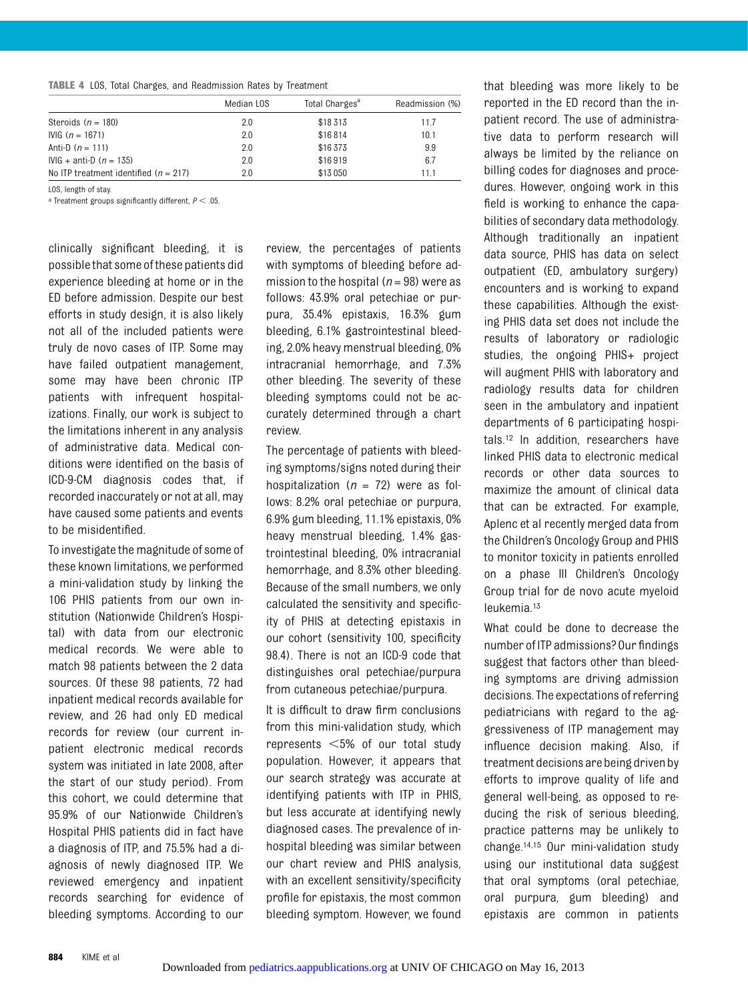TABLE 4 LOS, Total Charges, and Readmission Rates by Treatment

|                                         | Median LOS | Total Charges <sup>a</sup> | Readmission (%) |
|-----------------------------------------|------------|----------------------------|-----------------|
| Steroids ( $n = 180$ )                  | 2.0        | \$18313                    | 11.7            |
| IVIG $(n = 1671)$                       | 2.0        | \$16814                    | 10.1            |
| Anti-D $(n = 111)$                      | 2.0        | \$16373                    | 9.9             |
| $IVIG + anti-D (n = 135)$               | 2.0        | \$16919                    | 6.7             |
| No ITP treatment identified $(n = 217)$ | 2.0        | \$13 050                   | 11.1            |

LOS, length of stay.

a Treatment groups significantly different,  $P < .05$ .

clinically significant bleeding, it is possible that some of these patients did experience bleeding at home or in the ED before admission. Despite our best efforts in study design, it is also likely not all of the included patients were truly de novo cases of ITP. Some may have failed outpatient management, some may have been chronic ITP patients with infrequent hospitalizations. Finally, our work is subject to the limitations inherent in any analysis of administrative data. Medical conditions were identified on the basis of ICD-9-CM diagnosis codes that, if recorded inaccurately or not at all, may have caused some patients and events to be misidentified.

To investigate the magnitude of some of these known limitations, we performed a mini-validation study by linking the 106 PHIS patients from our own institution (Nationwide Children's Hospital) with data from our electronic medical records. We were able to match 98 patients between the 2 data sources. Of these 98 patients, 72 had inpatient medical records available for review, and 26 had only ED medical records for review (our current inpatient electronic medical records system was initiated in late 2008, after the start of our study period). From this cohort, we could determine that 95.9% of our Nationwide Children's Hospital PHIS patients did in fact have a diagnosis of ITP, and 75.5% had a diagnosis of newly diagnosed ITP. We reviewed emergency and inpatient records searching for evidence of bleeding symptoms. According to our

review, the percentages of patients with symptoms of bleeding before admission to the hospital ( $n = 98$ ) were as follows: 43.9% oral petechiae or purpura, 35.4% epistaxis, 16.3% gum bleeding, 6.1% gastrointestinal bleeding, 2.0% heavy menstrual bleeding, 0% intracranial hemorrhage, and 7.3% other bleeding. The severity of these bleeding symptoms could not be accurately determined through a chart review.

The percentage of patients with bleeding symptoms/signs noted during their hospitalization ( $n = 72$ ) were as follows: 8.2% oral petechiae or purpura, 6.9% gum bleeding, 11.1% epistaxis, 0% heavy menstrual bleeding, 1.4% gastrointestinal bleeding, 0% intracranial hemorrhage, and 8.3% other bleeding. Because of the small numbers, we only calculated the sensitivity and specificity of PHIS at detecting epistaxis in our cohort (sensitivity 100, specificity 98.4). There is not an ICD-9 code that distinguishes oral petechiae/purpura from cutaneous petechiae/purpura.

It is difficult to draw firm conclusions from this mini-validation study, which represents  $<$ 5% of our total study population. However, it appears that our search strategy was accurate at identifying patients with ITP in PHIS, but less accurate at identifying newly diagnosed cases. The prevalence of inhospital bleeding was similar between our chart review and PHIS analysis, with an excellent sensitivity/specificity profile for epistaxis, the most common bleeding symptom. However, we found

that bleeding was more likely to be reported in the ED record than the inpatient record. The use of administrative data to perform research will always be limited by the reliance on billing codes for diagnoses and procedures. However, ongoing work in this field is working to enhance the capabilities of secondary data methodology. Although traditionally an inpatient data source, PHIS has data on select outpatient (ED, ambulatory surgery) encounters and is working to expand these capabilities. Although the existing PHIS data set does not include the results of laboratory or radiologic studies, the ongoing PHIS+ project will augment PHIS with laboratory and radiology results data for children seen in the ambulatory and inpatient departments of 6 participating hospitals.12 In addition, researchers have linked PHIS data to electronic medical records or other data sources to maximize the amount of clinical data that can be extracted. For example, Aplenc et al recently merged data from the Children's Oncology Group and PHIS to monitor toxicity in patients enrolled on a phase III Children's Oncology Group trial for de novo acute myeloid leukemia.13

What could be done to decrease the number of ITP admissions? Our findings suggest that factors other than bleeding symptoms are driving admission decisions. The expectations of referring pediatricians with regard to the aggressiveness of ITP management may influence decision making. Also, if treatment decisions are being driven by efforts to improve quality of life and general well-being, as opposed to reducing the risk of serious bleeding, practice patterns may be unlikely to change.14,15 Our mini-validation study using our institutional data suggest that oral symptoms (oral petechiae, oral purpura, gum bleeding) and epistaxis are common in patients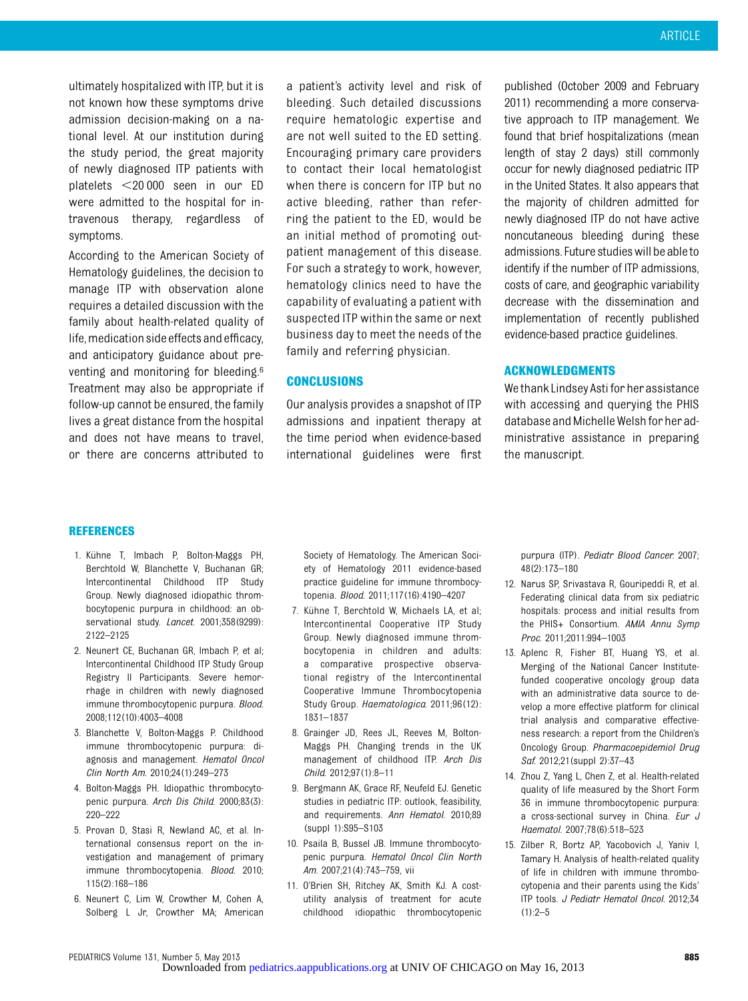ultimately hospitalized with ITP, but it is not known how these symptoms drive admission decision-making on a national level. At our institution during the study period, the great majority of newly diagnosed ITP patients with platelets  $<$  20 000 seen in our ED were admitted to the hospital for intravenous therapy, regardless of symptoms.

According to the American Society of Hematology guidelines, the decision to manage ITP with observation alone requires a detailed discussion with the family about health-related quality of life,medication side effects and efficacy, and anticipatory guidance about preventing and monitoring for bleeding.<sup>6</sup> Treatment may also be appropriate if follow-up cannot be ensured, the family lives a great distance from the hospital and does not have means to travel, or there are concerns attributed to

a patient's activity level and risk of bleeding. Such detailed discussions require hematologic expertise and are not well suited to the ED setting. Encouraging primary care providers to contact their local hematologist when there is concern for ITP but no active bleeding, rather than referring the patient to the ED, would be an initial method of promoting outpatient management of this disease. For such a strategy to work, however, hematology clinics need to have the capability of evaluating a patient with suspected ITP within the same or next business day to meet the needs of the family and referring physician.

#### **CONCLUSIONS**

Our analysis provides a snapshot of ITP admissions and inpatient therapy at the time period when evidence-based international guidelines were first

published (October 2009 and February 2011) recommending a more conservative approach to ITP management. We found that brief hospitalizations (mean length of stay 2 days) still commonly occur for newly diagnosed pediatric ITP in the United States. It also appears that the majority of children admitted for newly diagnosed ITP do not have active noncutaneous bleeding during these admissions. Future studieswill be ableto identify if the number of ITP admissions, costs of care, and geographic variability decrease with the dissemination and implementation of recently published evidence-based practice guidelines.

#### ACKNOWLEDGMENTS

Wethank Lindsey Astifor her assistance with accessing and querying the PHIS database and Michelle Welsh for her administrative assistance in preparing the manuscript.

#### **REFERENCES**

- 1. Kühne T, Imbach P, Bolton-Maggs PH, Berchtold W, Blanchette V, Buchanan GR; Intercontinental Childhood ITP Study Group. Newly diagnosed idiopathic thrombocytopenic purpura in childhood: an observational study. Lancet. 2001;358(9299): 2122–2125
- 2. Neunert CE, Buchanan GR, Imbach P, et al; Intercontinental Childhood ITP Study Group Registry II Participants. Severe hemorrhage in children with newly diagnosed immune thrombocytopenic purpura. Blood. 2008;112(10):4003–4008
- 3. Blanchette V, Bolton-Maggs P. Childhood immune thrombocytopenic purpura: diagnosis and management. Hematol Oncol Clin North Am. 2010;24(1):249–273
- 4. Bolton-Maggs PH. Idiopathic thrombocytopenic purpura. Arch Dis Child. 2000;83(3): 220–222
- 5. Provan D, Stasi R, Newland AC, et al. International consensus report on the investigation and management of primary immune thrombocytopenia. Blood. 2010; 115(2):168–186
- 6. Neunert C, Lim W, Crowther M, Cohen A, Solberg L Jr, Crowther MA; American

Society of Hematology. The American Society of Hematology 2011 evidence-based practice guideline for immune thrombocytopenia. Blood. 2011;117(16):4190–4207

- 7. Kühne T, Berchtold W, Michaels LA, et al; Intercontinental Cooperative ITP Study Group. Newly diagnosed immune thrombocytopenia in children and adults: a comparative prospective observational registry of the Intercontinental Cooperative Immune Thrombocytopenia Study Group. Haematologica. 2011;96(12): 1831–1837
- 8. Grainger JD, Rees JL, Reeves M, Bolton-Maggs PH. Changing trends in the UK management of childhood ITP. Arch Dis Child. 2012;97(1):8–11
- 9. Bergmann AK, Grace RF, Neufeld EJ. Genetic studies in pediatric ITP: outlook, feasibility, and requirements. Ann Hematol. 2010;89 (suppl 1):S95–S103
- 10. Psaila B, Bussel JB. Immune thrombocytopenic purpura. Hematol Oncol Clin North Am. 2007;21(4):743–759, vii
- 11. O'Brien SH, Ritchey AK, Smith KJ. A costutility analysis of treatment for acute childhood idiopathic thrombocytopenic

purpura (ITP). Pediatr Blood Cancer. 2007; 48(2):173–180

- 12. Narus SP, Srivastava R, Gouripeddi R, et al. Federating clinical data from six pediatric hospitals: process and initial results from the PHIS+ Consortium. AMIA Annu Symp Proc. 2011;2011:994–1003
- 13. Aplenc R, Fisher BT, Huang YS, et al. Merging of the National Cancer Institutefunded cooperative oncology group data with an administrative data source to develop a more effective platform for clinical trial analysis and comparative effectiveness research: a report from the Children's Oncology Group. Pharmacoepidemiol Drug Saf. 2012;21(suppl 2):37–43
- 14. Zhou Z, Yang L, Chen Z, et al. Health-related quality of life measured by the Short Form 36 in immune thrombocytopenic purpura: a cross-sectional survey in China. Eur J Haematol. 2007;78(6):518–523
- 15. Zilber R, Bortz AP, Yacobovich J, Yaniv I, Tamary H. Analysis of health-related quality of life in children with immune thrombocytopenia and their parents using the Kids' ITP tools. J Pediatr Hematol Oncol. 2012;34  $(1) \cdot 2 - 5$